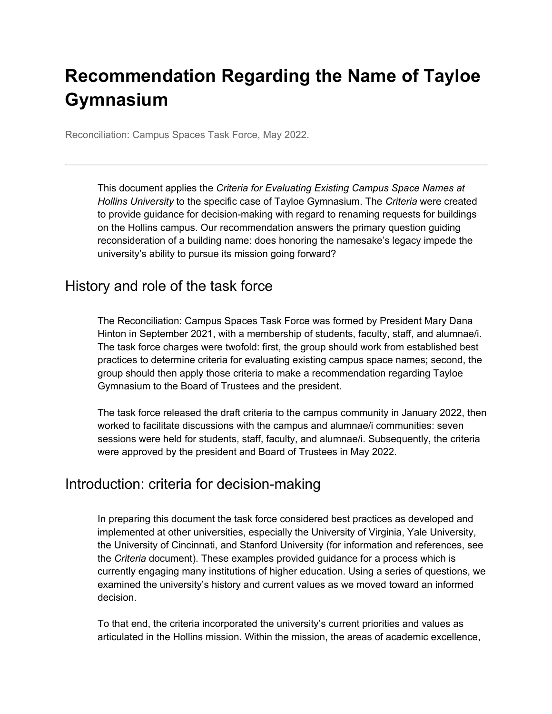# **Recommendation Regarding the Name of Tayloe Gymnasium**

Reconciliation: Campus Spaces Task Force, May 2022.

This document applies the *Criteria for Evaluating Existing Campus Space Names at Hollins University* to the specific case of Tayloe Gymnasium. The *Criteria* were created to provide guidance for decision-making with regard to renaming requests for buildings on the Hollins campus. Our recommendation answers the primary question guiding reconsideration of a building name: does honoring the namesake's legacy impede the university's ability to pursue its mission going forward?

## History and role of the task force

The Reconciliation: Campus Spaces Task Force was formed by President Mary Dana Hinton in September 2021, with a membership of students, faculty, staff, and alumnae/i. The task force charges were twofold: first, the group should work from established best practices to determine criteria for evaluating existing campus space names; second, the group should then apply those criteria to make a recommendation regarding Tayloe Gymnasium to the Board of Trustees and the president.

The task force released the draft criteria to the campus community in January 2022, then worked to facilitate discussions with the campus and alumnae/i communities: seven sessions were held for students, staff, faculty, and alumnae/i. Subsequently, the criteria were approved by the president and Board of Trustees in May 2022.

## Introduction: criteria for decision-making

In preparing this document the task force considered best practices as developed and implemented at other universities, especially the University of Virginia, Yale University, the University of Cincinnati, and Stanford University (for information and references, see the *Criteria* document). These examples provided guidance for a process which is currently engaging many institutions of higher education. Using a series of questions, we examined the university's history and current values as we moved toward an informed decision.

To that end, the criteria incorporated the university's current priorities and values as articulated in the Hollins mission. Within the mission, the areas of academic excellence,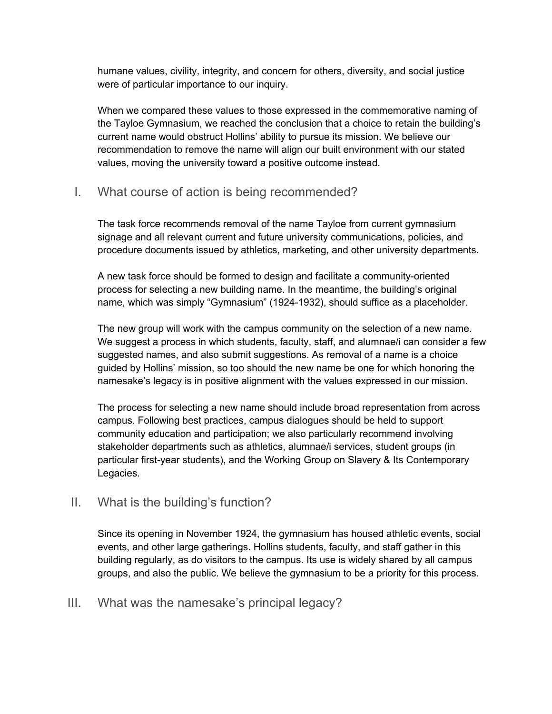humane values, civility, integrity, and concern for others, diversity, and social justice were of particular importance to our inquiry.

When we compared these values to those expressed in the commemorative naming of the Tayloe Gymnasium, we reached the conclusion that a choice to retain the building's current name would obstruct Hollins' ability to pursue its mission. We believe our recommendation to remove the name will align our built environment with our stated values, moving the university toward a positive outcome instead.

#### I. What course of action is being recommended?

The task force recommends removal of the name Tayloe from current gymnasium signage and all relevant current and future university communications, policies, and procedure documents issued by athletics, marketing, and other university departments.

A new task force should be formed to design and facilitate a community-oriented process for selecting a new building name. In the meantime, the building's original name, which was simply "Gymnasium" (1924-1932), should suffice as a placeholder.

The new group will work with the campus community on the selection of a new name. We suggest a process in which students, faculty, staff, and alumnae/i can consider a few suggested names, and also submit suggestions. As removal of a name is a choice guided by Hollins' mission, so too should the new name be one for which honoring the namesake's legacy is in positive alignment with the values expressed in our mission.

The process for selecting a new name should include broad representation from across campus. Following best practices, campus dialogues should be held to support community education and participation; we also particularly recommend involving stakeholder departments such as athletics, alumnae/i services, student groups (in particular first-year students), and the Working Group on Slavery & Its Contemporary Legacies.

#### II. What is the building's function?

Since its opening in November 1924, the gymnasium has housed athletic events, social events, and other large gatherings. Hollins students, faculty, and staff gather in this building regularly, as do visitors to the campus. Its use is widely shared by all campus groups, and also the public. We believe the gymnasium to be a priority for this process.

#### III. What was the namesake's principal legacy?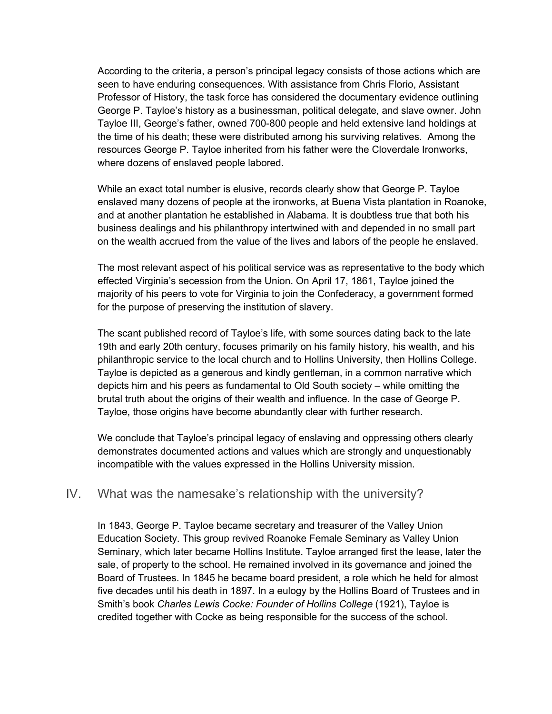According to the criteria, a person's principal legacy consists of those actions which are seen to have enduring consequences. With assistance from Chris Florio, Assistant Professor of History, the task force has considered the documentary evidence outlining George P. Tayloe's history as a businessman, political delegate, and slave owner. John Tayloe III, George's father, owned 700-800 people and held extensive land holdings at the time of his death; these were distributed among his surviving relatives. Among the resources George P. Tayloe inherited from his father were the Cloverdale Ironworks, where dozens of enslaved people labored.

While an exact total number is elusive, records clearly show that George P. Tayloe enslaved many dozens of people at the ironworks, at Buena Vista plantation in Roanoke, and at another plantation he established in Alabama. It is doubtless true that both his business dealings and his philanthropy intertwined with and depended in no small part on the wealth accrued from the value of the lives and labors of the people he enslaved.

The most relevant aspect of his political service was as representative to the body which effected Virginia's secession from the Union. On April 17, 1861, Tayloe joined the majority of his peers to vote for Virginia to join the Confederacy, a government formed for the purpose of preserving the institution of slavery.

The scant published record of Tayloe's life, with some sources dating back to the late 19th and early 20th century, focuses primarily on his family history, his wealth, and his philanthropic service to the local church and to Hollins University, then Hollins College. Tayloe is depicted as a generous and kindly gentleman, in a common narrative which depicts him and his peers as fundamental to Old South society – while omitting the brutal truth about the origins of their wealth and influence. In the case of George P. Tayloe, those origins have become abundantly clear with further research.

We conclude that Tayloe's principal legacy of enslaving and oppressing others clearly demonstrates documented actions and values which are strongly and unquestionably incompatible with the values expressed in the Hollins University mission.

#### IV. What was the namesake's relationship with the university?

In 1843, George P. Tayloe became secretary and treasurer of the Valley Union Education Society. This group revived Roanoke Female Seminary as Valley Union Seminary, which later became Hollins Institute. Tayloe arranged first the lease, later the sale, of property to the school. He remained involved in its governance and joined the Board of Trustees. In 1845 he became board president, a role which he held for almost five decades until his death in 1897. In a eulogy by the Hollins Board of Trustees and in Smith's book *Charles Lewis Cocke: Founder of Hollins College* (1921), Tayloe is credited together with Cocke as being responsible for the success of the school.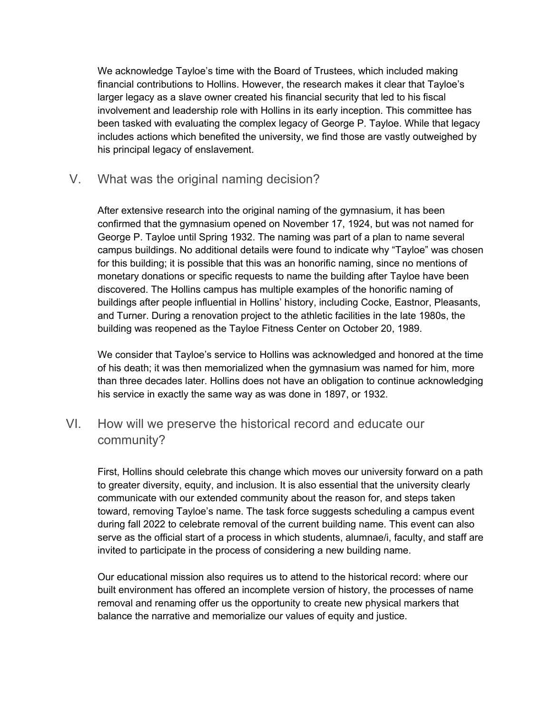We acknowledge Tayloe's time with the Board of Trustees, which included making financial contributions to Hollins. However, the research makes it clear that Tayloe's larger legacy as a slave owner created his financial security that led to his fiscal involvement and leadership role with Hollins in its early inception. This committee has been tasked with evaluating the complex legacy of George P. Tayloe. While that legacy includes actions which benefited the university, we find those are vastly outweighed by his principal legacy of enslavement.

V. What was the original naming decision?

After extensive research into the original naming of the gymnasium, it has been confirmed that the gymnasium opened on November 17, 1924, but was not named for George P. Tayloe until Spring 1932. The naming was part of a plan to name several campus buildings. No additional details were found to indicate why "Tayloe" was chosen for this building; it is possible that this was an honorific naming, since no mentions of monetary donations or specific requests to name the building after Tayloe have been discovered. The Hollins campus has multiple examples of the honorific naming of buildings after people influential in Hollins' history, including Cocke, Eastnor, Pleasants, and Turner. During a renovation project to the athletic facilities in the late 1980s, the building was reopened as the Tayloe Fitness Center on October 20, 1989.

We consider that Tayloe's service to Hollins was acknowledged and honored at the time of his death; it was then memorialized when the gymnasium was named for him, more than three decades later. Hollins does not have an obligation to continue acknowledging his service in exactly the same way as was done in 1897, or 1932.

## VI. How will we preserve the historical record and educate our community?

First, Hollins should celebrate this change which moves our university forward on a path to greater diversity, equity, and inclusion. It is also essential that the university clearly communicate with our extended community about the reason for, and steps taken toward, removing Tayloe's name. The task force suggests scheduling a campus event during fall 2022 to celebrate removal of the current building name. This event can also serve as the official start of a process in which students, alumnae/i, faculty, and staff are invited to participate in the process of considering a new building name.

Our educational mission also requires us to attend to the historical record: where our built environment has offered an incomplete version of history, the processes of name removal and renaming offer us the opportunity to create new physical markers that balance the narrative and memorialize our values of equity and justice.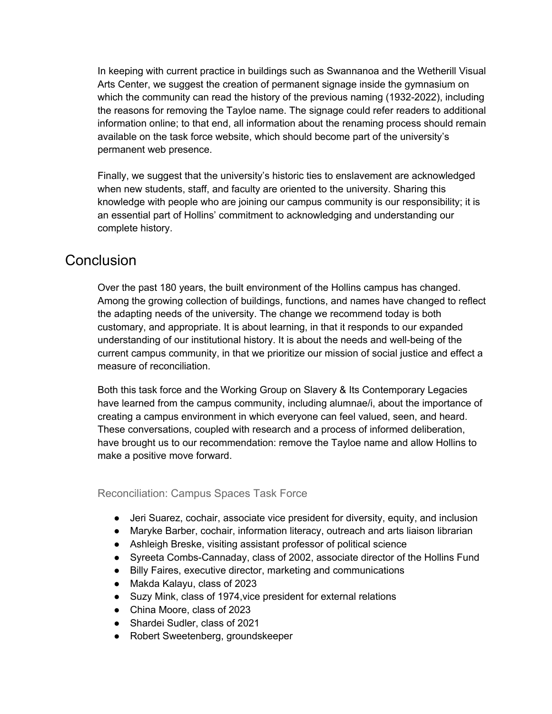In keeping with current practice in buildings such as Swannanoa and the Wetherill Visual Arts Center, we suggest the creation of permanent signage inside the gymnasium on which the community can read the history of the previous naming (1932-2022), including the reasons for removing the Tayloe name. The signage could refer readers to additional information online; to that end, all information about the renaming process should remain available on the task force website, which should become part of the university's permanent web presence.

Finally, we suggest that the university's historic ties to enslavement are acknowledged when new students, staff, and faculty are oriented to the university. Sharing this knowledge with people who are joining our campus community is our responsibility; it is an essential part of Hollins' commitment to acknowledging and understanding our complete history.

# **Conclusion**

Over the past 180 years, the built environment of the Hollins campus has changed. Among the growing collection of buildings, functions, and names have changed to reflect the adapting needs of the university. The change we recommend today is both customary, and appropriate. It is about learning, in that it responds to our expanded understanding of our institutional history. It is about the needs and well-being of the current campus community, in that we prioritize our mission of social justice and effect a measure of reconciliation.

Both this task force and the Working Group on Slavery & Its Contemporary Legacies have learned from the campus community, including alumnae/i, about the importance of creating a campus environment in which everyone can feel valued, seen, and heard. These conversations, coupled with research and a process of informed deliberation, have brought us to our recommendation: remove the Tayloe name and allow Hollins to make a positive move forward.

Reconciliation: Campus Spaces Task Force

- Jeri Suarez, cochair, associate vice president for diversity, equity, and inclusion
- Maryke Barber, cochair, information literacy, outreach and arts liaison librarian
- Ashleigh Breske, visiting assistant professor of political science
- Syreeta Combs-Cannaday, class of 2002, associate director of the Hollins Fund
- Billy Faires, executive director, marketing and communications
- Makda Kalayu, class of 2023
- Suzy Mink, class of 1974, vice president for external relations
- China Moore, class of 2023
- Shardei Sudler, class of 2021
- Robert Sweetenberg, groundskeeper